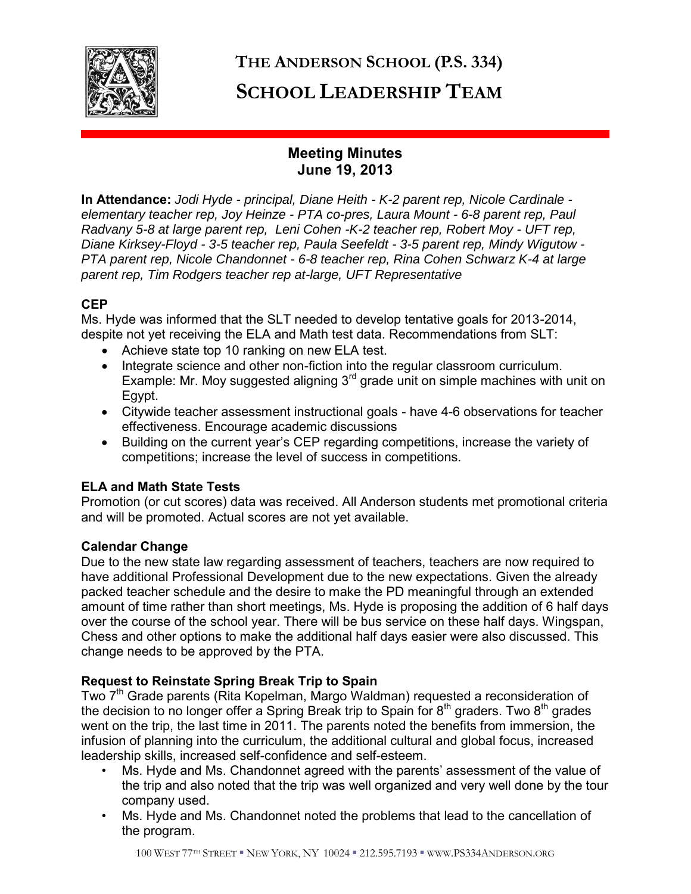

# **THE ANDERSON SCHOOL (P.S. 334) SCHOOL LEADERSHIP TEAM**

# **Meeting Minutes June 19, 2013**

**In Attendance:** *Jodi Hyde - principal, Diane Heith - K-2 parent rep, Nicole Cardinale elementary teacher rep, Joy Heinze - PTA co-pres, Laura Mount - 6-8 parent rep, Paul Radvany 5-8 at large parent rep, Leni Cohen -K-2 teacher rep, Robert Moy - UFT rep, Diane Kirksey-Floyd - 3-5 teacher rep, Paula Seefeldt - 3-5 parent rep, Mindy Wigutow - PTA parent rep, Nicole Chandonnet - 6-8 teacher rep, Rina Cohen Schwarz K-4 at large parent rep, Tim Rodgers teacher rep at-large, UFT Representative* 

# **CEP**

Ms. Hyde was informed that the SLT needed to develop tentative goals for 2013-2014, despite not yet receiving the ELA and Math test data. Recommendations from SLT:

- Achieve state top 10 ranking on new ELA test.
- Integrate science and other non-fiction into the regular classroom curriculum. Example: Mr. Moy suggested aligning  $3<sup>rd</sup>$  grade unit on simple machines with unit on Egypt.
- Citywide teacher assessment instructional goals have 4-6 observations for teacher effectiveness. Encourage academic discussions
- Building on the current year's CEP regarding competitions, increase the variety of competitions; increase the level of success in competitions.

## **ELA and Math State Tests**

Promotion (or cut scores) data was received. All Anderson students met promotional criteria and will be promoted. Actual scores are not yet available.

## **Calendar Change**

Due to the new state law regarding assessment of teachers, teachers are now required to have additional Professional Development due to the new expectations. Given the already packed teacher schedule and the desire to make the PD meaningful through an extended amount of time rather than short meetings, Ms. Hyde is proposing the addition of 6 half days over the course of the school year. There will be bus service on these half days. Wingspan, Chess and other options to make the additional half days easier were also discussed. This change needs to be approved by the PTA.

## **Request to Reinstate Spring Break Trip to Spain**

Two 7<sup>th</sup> Grade parents (Rita Kopelman, Margo Waldman) requested a reconsideration of the decision to no longer offer a Spring Break trip to Spain for  $8<sup>th</sup>$  graders. Two  $8<sup>th</sup>$  grades went on the trip, the last time in 2011. The parents noted the benefits from immersion, the infusion of planning into the curriculum, the additional cultural and global focus, increased leadership skills, increased self-confidence and self-esteem.

- Ms. Hyde and Ms. Chandonnet agreed with the parents' assessment of the value of the trip and also noted that the trip was well organized and very well done by the tour company used.
- Ms. Hyde and Ms. Chandonnet noted the problems that lead to the cancellation of the program.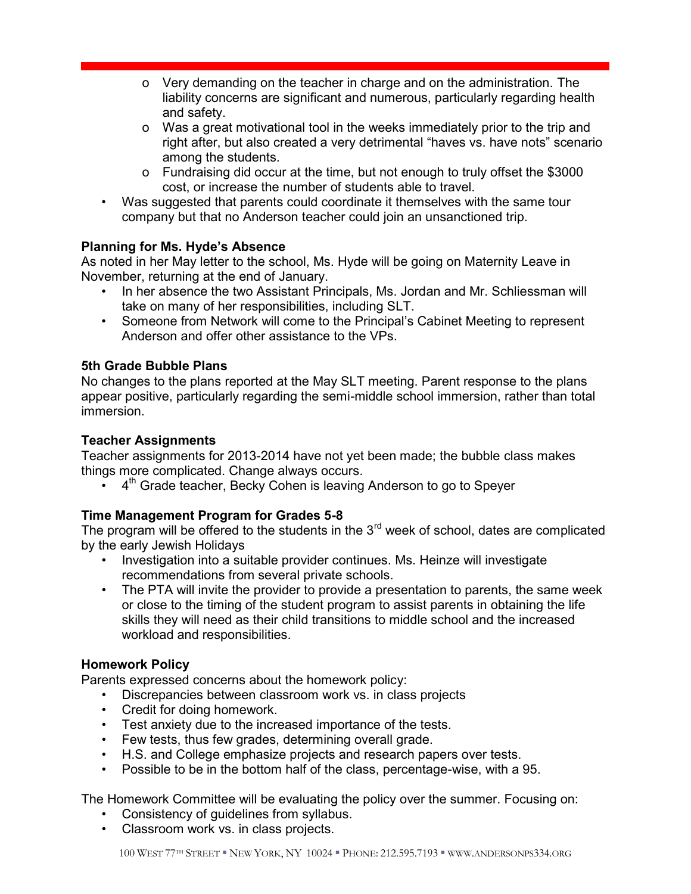- o Very demanding on the teacher in charge and on the administration. The liability concerns are significant and numerous, particularly regarding health and safety.
- o Was a great motivational tool in the weeks immediately prior to the trip and right after, but also created a very detrimental "haves vs. have nots" scenario among the students.
- o Fundraising did occur at the time, but not enough to truly offset the \$3000 cost, or increase the number of students able to travel.
- Was suggested that parents could coordinate it themselves with the same tour company but that no Anderson teacher could join an unsanctioned trip.

# **Planning for Ms. Hyde's Absence**

As noted in her May letter to the school, Ms. Hyde will be going on Maternity Leave in November, returning at the end of January.

- In her absence the two Assistant Principals, Ms. Jordan and Mr. Schliessman will take on many of her responsibilities, including SLT.
- Someone from Network will come to the Principal's Cabinet Meeting to represent Anderson and offer other assistance to the VPs.

# **5th Grade Bubble Plans**

No changes to the plans reported at the May SLT meeting. Parent response to the plans appear positive, particularly regarding the semi-middle school immersion, rather than total immersion.

## **Teacher Assignments**

Teacher assignments for 2013-2014 have not yet been made; the bubble class makes things more complicated. Change always occurs.

 $\bullet$  4<sup>th</sup> Grade teacher, Becky Cohen is leaving Anderson to go to Speyer

# **Time Management Program for Grades 5-8**

The program will be offered to the students in the  $3<sup>rd</sup>$  week of school, dates are complicated by the early Jewish Holidays

- Investigation into a suitable provider continues. Ms. Heinze will investigate recommendations from several private schools.
- The PTA will invite the provider to provide a presentation to parents, the same week or close to the timing of the student program to assist parents in obtaining the life skills they will need as their child transitions to middle school and the increased workload and responsibilities.

# **Homework Policy**

Parents expressed concerns about the homework policy:

- Discrepancies between classroom work vs. in class projects
- Credit for doing homework.
- Test anxiety due to the increased importance of the tests.
- Few tests, thus few grades, determining overall grade.
- H.S. and College emphasize projects and research papers over tests.
- Possible to be in the bottom half of the class, percentage-wise, with a 95.

The Homework Committee will be evaluating the policy over the summer. Focusing on:

- Consistency of guidelines from syllabus.
- Classroom work vs. in class projects.